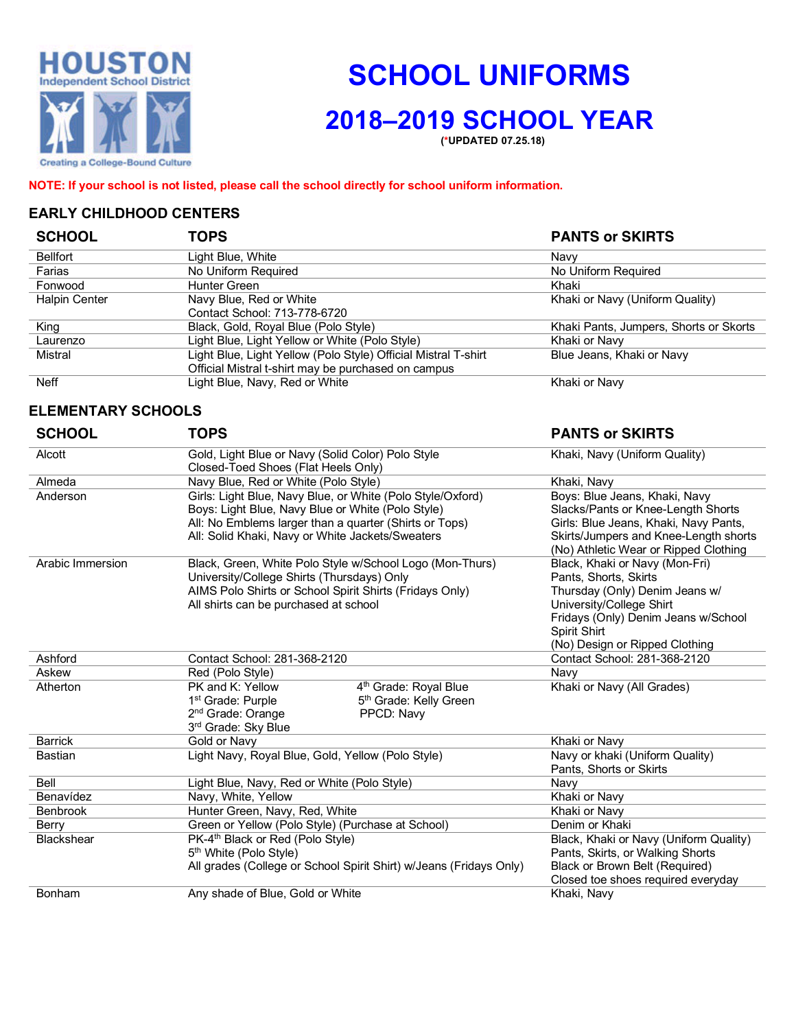

# **SCHOOL UNIFORMS**

## **2018–2019 SCHOOL YEAR**

**(\*UPDATED 07.25.18)**

**NOTE: If your school is not listed, please call the school directly for school uniform information.**

#### **EARLY CHILDHOOD CENTERS**

| <b>SCHOOL</b>   | TOPS                                                           | <b>PANTS or SKIRTS</b>                 |
|-----------------|----------------------------------------------------------------|----------------------------------------|
| <b>Bellfort</b> | Light Blue, White                                              | Navv                                   |
| Farias          | No Uniform Required                                            | No Uniform Required                    |
| Fonwood         | Hunter Green                                                   | Khaki                                  |
| Halpin Center   | Navy Blue, Red or White                                        | Khaki or Navy (Uniform Quality)        |
|                 | Contact School: 713-778-6720                                   |                                        |
| King            | Black, Gold, Royal Blue (Polo Style)                           | Khaki Pants, Jumpers, Shorts or Skorts |
| Laurenzo        | Light Blue, Light Yellow or White (Polo Style)                 | Khaki or Navy                          |
| Mistral         | Light Blue, Light Yellow (Polo Style) Official Mistral T-shirt | Blue Jeans, Khaki or Navy              |
|                 | Official Mistral t-shirt may be purchased on campus            |                                        |
| Neff            | Light Blue, Navy, Red or White                                 | Khaki or Navy                          |
|                 |                                                                |                                        |

#### **ELEMENTARY SCHOOLS**

| <b>SCHOOL</b>     | <b>TOPS</b>                                                                                                                                                                                                                   | <b>PANTS or SKIRTS</b>                                                                                                                                                                                         |
|-------------------|-------------------------------------------------------------------------------------------------------------------------------------------------------------------------------------------------------------------------------|----------------------------------------------------------------------------------------------------------------------------------------------------------------------------------------------------------------|
| Alcott            | Gold, Light Blue or Navy (Solid Color) Polo Style<br>Closed-Toed Shoes (Flat Heels Only)                                                                                                                                      | Khaki, Navy (Uniform Quality)                                                                                                                                                                                  |
| Almeda            | Navy Blue, Red or White (Polo Style)                                                                                                                                                                                          | Khaki, Navy                                                                                                                                                                                                    |
| Anderson          | Girls: Light Blue, Navy Blue, or White (Polo Style/Oxford)<br>Boys: Light Blue, Navy Blue or White (Polo Style)<br>All: No Emblems larger than a quarter (Shirts or Tops)<br>All: Solid Khaki, Navy or White Jackets/Sweaters | Boys: Blue Jeans, Khaki, Navy<br>Slacks/Pants or Knee-Length Shorts<br>Girls: Blue Jeans, Khaki, Navy Pants,<br>Skirts/Jumpers and Knee-Length shorts<br>(No) Athletic Wear or Ripped Clothing                 |
| Arabic Immersion  | Black, Green, White Polo Style w/School Logo (Mon-Thurs)<br>University/College Shirts (Thursdays) Only<br>AIMS Polo Shirts or School Spirit Shirts (Fridays Only)<br>All shirts can be purchased at school                    | Black, Khaki or Navy (Mon-Fri)<br>Pants, Shorts, Skirts<br>Thursday (Only) Denim Jeans w/<br>University/College Shirt<br>Fridays (Only) Denim Jeans w/School<br>Spirit Shirt<br>(No) Design or Ripped Clothing |
| Ashford           | Contact School: 281-368-2120                                                                                                                                                                                                  | Contact School: 281-368-2120                                                                                                                                                                                   |
| Askew             | Red (Polo Style)                                                                                                                                                                                                              | Navy                                                                                                                                                                                                           |
| Atherton          | PK and K: Yellow<br>4 <sup>th</sup> Grade: Royal Blue<br>5 <sup>th</sup> Grade: Kelly Green<br>1 <sup>st</sup> Grade: Purple<br>2 <sup>nd</sup> Grade: Orange<br>PPCD: Navy<br>3rd Grade: Sky Blue                            | Khaki or Navy (All Grades)                                                                                                                                                                                     |
| <b>Barrick</b>    | Gold or Navy                                                                                                                                                                                                                  | Khaki or Navy                                                                                                                                                                                                  |
| <b>Bastian</b>    | Light Navy, Royal Blue, Gold, Yellow (Polo Style)                                                                                                                                                                             | Navy or khaki (Uniform Quality)<br>Pants, Shorts or Skirts                                                                                                                                                     |
| Bell              | Light Blue, Navy, Red or White (Polo Style)                                                                                                                                                                                   | Navy                                                                                                                                                                                                           |
| Benavídez         | Navy, White, Yellow                                                                                                                                                                                                           | Khaki or Navy                                                                                                                                                                                                  |
| <b>Benbrook</b>   | Hunter Green, Navy, Red, White                                                                                                                                                                                                | Khaki or Navy                                                                                                                                                                                                  |
| Berry             | Green or Yellow (Polo Style) (Purchase at School)                                                                                                                                                                             | Denim or Khaki                                                                                                                                                                                                 |
| <b>Blackshear</b> | PK-4 <sup>th</sup> Black or Red (Polo Style)<br>5 <sup>th</sup> White (Polo Style)<br>All grades (College or School Spirit Shirt) w/Jeans (Fridays Only)                                                                      | Black, Khaki or Navy (Uniform Quality)<br>Pants, Skirts, or Walking Shorts<br>Black or Brown Belt (Required)<br>Closed toe shoes required everyday                                                             |
| Bonham            | Any shade of Blue, Gold or White                                                                                                                                                                                              | Khaki, Navy                                                                                                                                                                                                    |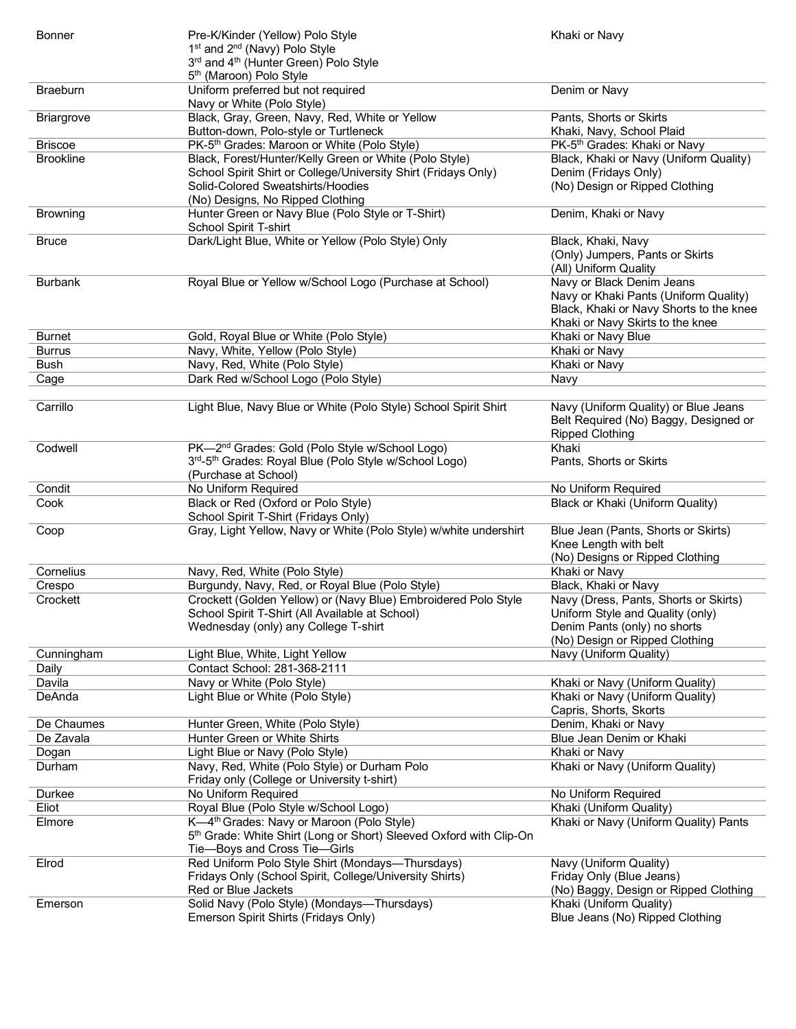| <b>Bonner</b>      | Pre-K/Kinder (Yellow) Polo Style                                                        | Khaki or Navy                                                    |
|--------------------|-----------------------------------------------------------------------------------------|------------------------------------------------------------------|
|                    | 1 <sup>st</sup> and 2 <sup>nd</sup> (Navy) Polo Style                                   |                                                                  |
|                    | 3rd and 4 <sup>th</sup> (Hunter Green) Polo Style                                       |                                                                  |
|                    | 5 <sup>th</sup> (Maroon) Polo Style                                                     |                                                                  |
| Braeburn           | Uniform preferred but not required                                                      | Denim or Navy                                                    |
|                    | Navy or White (Polo Style)                                                              | Pants, Shorts or Skirts                                          |
| <b>Briargrove</b>  | Black, Gray, Green, Navy, Red, White or Yellow<br>Button-down, Polo-style or Turtleneck | Khaki, Navy, School Plaid                                        |
| <b>Briscoe</b>     | PK-5 <sup>th</sup> Grades: Maroon or White (Polo Style)                                 | PK-5 <sup>th</sup> Grades: Khaki or Navy                         |
| <b>Brookline</b>   | Black, Forest/Hunter/Kelly Green or White (Polo Style)                                  | Black, Khaki or Navy (Uniform Quality)                           |
|                    | School Spirit Shirt or College/University Shirt (Fridays Only)                          | Denim (Fridays Only)                                             |
|                    | Solid-Colored Sweatshirts/Hoodies                                                       | (No) Design or Ripped Clothing                                   |
|                    | (No) Designs, No Ripped Clothing                                                        |                                                                  |
| <b>Browning</b>    | Hunter Green or Navy Blue (Polo Style or T-Shirt)                                       | Denim, Khaki or Navy                                             |
|                    | School Spirit T-shirt                                                                   |                                                                  |
| <b>Bruce</b>       | Dark/Light Blue, White or Yellow (Polo Style) Only                                      | Black, Khaki, Navy                                               |
|                    |                                                                                         | (Only) Jumpers, Pants or Skirts                                  |
|                    |                                                                                         | (All) Uniform Quality                                            |
| <b>Burbank</b>     | Royal Blue or Yellow w/School Logo (Purchase at School)                                 | Navy or Black Denim Jeans                                        |
|                    |                                                                                         | Navy or Khaki Pants (Uniform Quality)                            |
|                    |                                                                                         | Black, Khaki or Navy Shorts to the knee                          |
|                    |                                                                                         | Khaki or Navy Skirts to the knee                                 |
| <b>Burnet</b>      | Gold, Royal Blue or White (Polo Style)                                                  | Khaki or Navy Blue                                               |
| <b>Burrus</b>      | Navy, White, Yellow (Polo Style)                                                        | Khaki or Navy                                                    |
| <b>Bush</b>        | Navy, Red, White (Polo Style)                                                           | Khaki or Navy                                                    |
| Cage               | Dark Red w/School Logo (Polo Style)                                                     | Navy                                                             |
|                    |                                                                                         |                                                                  |
| Carrillo           | Light Blue, Navy Blue or White (Polo Style) School Spirit Shirt                         | Navy (Uniform Quality) or Blue Jeans                             |
|                    |                                                                                         | Belt Required (No) Baggy, Designed or                            |
|                    |                                                                                         | <b>Ripped Clothing</b>                                           |
| Codwell            | PK-2 <sup>nd</sup> Grades: Gold (Polo Style w/School Logo)                              | Khaki                                                            |
|                    | 3rd-5th Grades: Royal Blue (Polo Style w/School Logo)<br>(Purchase at School)           | Pants, Shorts or Skirts                                          |
| Condit             | No Uniform Required                                                                     | No Uniform Required                                              |
| Cook               | Black or Red (Oxford or Polo Style)                                                     | Black or Khaki (Uniform Quality)                                 |
|                    | School Spirit T-Shirt (Fridays Only)                                                    |                                                                  |
|                    |                                                                                         |                                                                  |
|                    |                                                                                         |                                                                  |
| Coop               | Gray, Light Yellow, Navy or White (Polo Style) w/white undershirt                       | Blue Jean (Pants, Shorts or Skirts)                              |
|                    |                                                                                         | Knee Length with belt                                            |
|                    |                                                                                         | (No) Designs or Ripped Clothing                                  |
| Cornelius          | Navy, Red, White (Polo Style)                                                           | Khaki or Navy<br>Black, Khaki or Navy                            |
| Crespo<br>Crockett | Burgundy, Navy, Red, or Royal Blue (Polo Style)                                         |                                                                  |
|                    | Crockett (Golden Yellow) or (Navy Blue) Embroidered Polo Style                          | Navy (Dress, Pants, Shorts or Skirts)                            |
|                    | School Spirit T-Shirt (All Available at School)<br>Wednesday (only) any College T-shirt | Uniform Style and Quality (only)<br>Denim Pants (only) no shorts |
|                    |                                                                                         | (No) Design or Ripped Clothing                                   |
| Cunningham         | Light Blue, White, Light Yellow                                                         | Navy (Uniform Quality)                                           |
| Daily              | Contact School: 281-368-2111                                                            |                                                                  |
| Davila             | Navy or White (Polo Style)                                                              | Khaki or Navy (Uniform Quality)                                  |
| DeAnda             | Light Blue or White (Polo Style)                                                        | Khaki or Navy (Uniform Quality)                                  |
|                    |                                                                                         | Capris, Shorts, Skorts                                           |
| De Chaumes         | Hunter Green, White (Polo Style)                                                        | Denim, Khaki or Navy                                             |
| De Zavala          | Hunter Green or White Shirts                                                            | Blue Jean Denim or Khaki                                         |
| Dogan              | Light Blue or Navy (Polo Style)                                                         | Khaki or Navy                                                    |
| Durham             | Navy, Red, White (Polo Style) or Durham Polo                                            | Khaki or Navy (Uniform Quality)                                  |
|                    | Friday only (College or University t-shirt)                                             |                                                                  |
| Durkee             | No Uniform Required                                                                     | No Uniform Required                                              |
| Eliot              | Royal Blue (Polo Style w/School Logo)                                                   | Khaki (Uniform Quality)                                          |
| Elmore             | K-4 <sup>th</sup> Grades: Navy or Maroon (Polo Style)                                   | Khaki or Navy (Uniform Quality) Pants                            |
|                    | 5th Grade: White Shirt (Long or Short) Sleeved Oxford with Clip-On                      |                                                                  |
|                    | Tie-Boys and Cross Tie-Girls                                                            |                                                                  |
| Elrod              | Red Uniform Polo Style Shirt (Mondays-Thursdays)                                        | Navy (Uniform Quality)                                           |
|                    | Fridays Only (School Spirit, College/University Shirts)                                 | Friday Only (Blue Jeans)                                         |
|                    | Red or Blue Jackets                                                                     | (No) Baggy, Design or Ripped Clothing                            |
| Emerson            | Solid Navy (Polo Style) (Mondays-Thursdays)<br>Emerson Spirit Shirts (Fridays Only)     | Khaki (Uniform Quality)<br>Blue Jeans (No) Ripped Clothing       |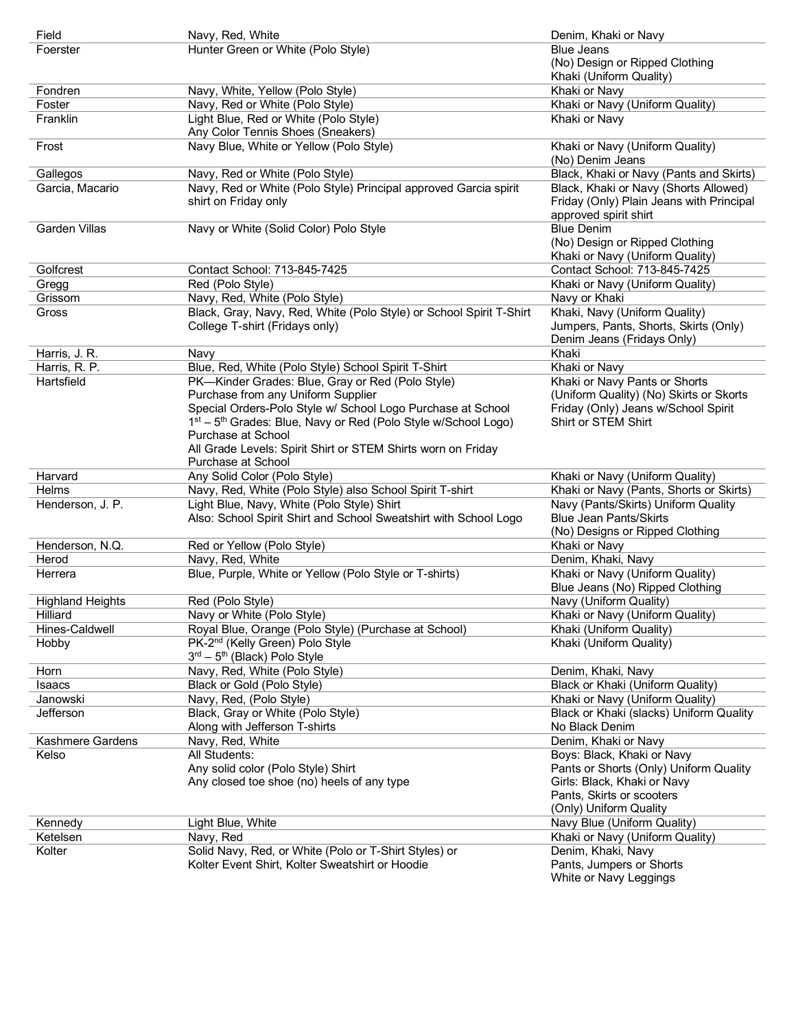| Field                   | Navy, Red, White                                                           | Denim, Khaki or Navy                               |
|-------------------------|----------------------------------------------------------------------------|----------------------------------------------------|
| Foerster                | Hunter Green or White (Polo Style)                                         | <b>Blue Jeans</b>                                  |
|                         |                                                                            | (No) Design or Ripped Clothing                     |
|                         |                                                                            | Khaki (Uniform Quality)                            |
| Fondren                 | Navy, White, Yellow (Polo Style)                                           | Khaki or Navy                                      |
| Foster                  | Navy, Red or White (Polo Style)                                            | Khaki or Navy (Uniform Quality)                    |
| Franklin                | Light Blue, Red or White (Polo Style)                                      | Khaki or Navy                                      |
|                         | Any Color Tennis Shoes (Sneakers)                                          |                                                    |
|                         | Navy Blue, White or Yellow (Polo Style)                                    |                                                    |
| Frost                   |                                                                            | Khaki or Navy (Uniform Quality)                    |
|                         |                                                                            | (No) Denim Jeans                                   |
| Gallegos                | Navy, Red or White (Polo Style)                                            | Black, Khaki or Navy (Pants and Skirts)            |
| Garcia, Macario         | Navy, Red or White (Polo Style) Principal approved Garcia spirit           | Black, Khaki or Navy (Shorts Allowed)              |
|                         | shirt on Friday only                                                       | Friday (Only) Plain Jeans with Principal           |
|                         |                                                                            | approved spirit shirt                              |
| Garden Villas           | Navy or White (Solid Color) Polo Style                                     | <b>Blue Denim</b>                                  |
|                         |                                                                            | (No) Design or Ripped Clothing                     |
|                         |                                                                            | Khaki or Navy (Uniform Quality)                    |
| Golfcrest               | Contact School: 713-845-7425                                               | Contact School: 713-845-7425                       |
| Gregg                   | Red (Polo Style)                                                           | Khaki or Navy (Uniform Quality)                    |
| Grissom                 | Navy, Red, White (Polo Style)                                              | Navy or Khaki                                      |
| Gross                   | Black, Gray, Navy, Red, White (Polo Style) or School Spirit T-Shirt        | Khaki, Navy (Uniform Quality)                      |
|                         | College T-shirt (Fridays only)                                             | Jumpers, Pants, Shorts, Skirts (Only)              |
|                         |                                                                            | Denim Jeans (Fridays Only)                         |
| Harris, J. R.           | Navy                                                                       | Khaki                                              |
| Harris, R. P.           | Blue, Red, White (Polo Style) School Spirit T-Shirt                        | Khaki or Navy                                      |
| Hartsfield              | PK-Kinder Grades: Blue, Gray or Red (Polo Style)                           | Khaki or Navy Pants or Shorts                      |
|                         |                                                                            |                                                    |
|                         | Purchase from any Uniform Supplier                                         | (Uniform Quality) (No) Skirts or Skorts            |
|                         | Special Orders-Polo Style w/ School Logo Purchase at School                | Friday (Only) Jeans w/School Spirit                |
|                         | 1st - 5 <sup>th</sup> Grades: Blue, Navy or Red (Polo Style w/School Logo) | Shirt or STEM Shirt                                |
|                         | Purchase at School                                                         |                                                    |
|                         | All Grade Levels: Spirit Shirt or STEM Shirts worn on Friday               |                                                    |
|                         | Purchase at School                                                         |                                                    |
| Harvard                 | Any Solid Color (Polo Style)                                               | Khaki or Navy (Uniform Quality)                    |
| Helms                   | Navy, Red, White (Polo Style) also School Spirit T-shirt                   | Khaki or Navy (Pants, Shorts or Skirts)            |
| Henderson, J. P.        | Light Blue, Navy, White (Polo Style) Shirt                                 | Navy (Pants/Skirts) Uniform Quality                |
|                         | Also: School Spirit Shirt and School Sweatshirt with School Logo           | <b>Blue Jean Pants/Skirts</b>                      |
|                         |                                                                            | (No) Designs or Ripped Clothing                    |
| Henderson, N.Q.         | Red or Yellow (Polo Style)                                                 | Khaki or Navy                                      |
| Herod                   | Navy, Red, White                                                           | Denim, Khaki, Navy                                 |
| Herrera                 | Blue, Purple, White or Yellow (Polo Style or T-shirts)                     | Khaki or Navy (Uniform Quality)                    |
|                         |                                                                            | Blue Jeans (No) Ripped Clothing                    |
| <b>Highland Heights</b> | Red (Polo Style)                                                           | Navy (Uniform Quality)                             |
| Hilliard                | Navy or White (Polo Style)                                                 | Khaki or Navy (Uniform Quality)                    |
| Hines-Caldwell          | Royal Blue, Orange (Polo Style) (Purchase at School)                       | Khaki (Uniform Quality)                            |
|                         | PK-2 <sup>nd</sup> (Kelly Green) Polo Style                                | Khaki (Uniform Quality)                            |
| Hobby                   |                                                                            |                                                    |
|                         | $3rd - 5th$ (Black) Polo Style                                             |                                                    |
| Horn                    | Navy, Red, White (Polo Style)                                              | Denim, Khaki, Navy                                 |
| Isaacs                  | Black or Gold (Polo Style)                                                 | Black or Khaki (Uniform Quality)                   |
| Janowski                | Navy, Red, (Polo Style)                                                    | Khaki or Navy (Uniform Quality)                    |
| Jefferson               | Black, Gray or White (Polo Style)                                          | Black or Khaki (slacks) Uniform Quality            |
|                         | Along with Jefferson T-shirts                                              | No Black Denim                                     |
| Kashmere Gardens        | Navy, Red, White                                                           | Denim, Khaki or Navy                               |
| Kelso                   | All Students:                                                              | Boys: Black, Khaki or Navy                         |
|                         | Any solid color (Polo Style) Shirt                                         | Pants or Shorts (Only) Uniform Quality             |
|                         |                                                                            |                                                    |
|                         | Any closed toe shoe (no) heels of any type                                 | Girls: Black, Khaki or Navy                        |
|                         |                                                                            | Pants, Skirts or scooters                          |
|                         |                                                                            |                                                    |
|                         |                                                                            | (Only) Uniform Quality                             |
| Kennedy                 | Light Blue, White                                                          | Navy Blue (Uniform Quality)                        |
| Ketelsen                | Navy, Red                                                                  | Khaki or Navy (Uniform Quality)                    |
| Kolter                  | Solid Navy, Red, or White (Polo or T-Shirt Styles) or                      | Denim, Khaki, Navy                                 |
|                         | Kolter Event Shirt, Kolter Sweatshirt or Hoodie                            | Pants, Jumpers or Shorts<br>White or Navy Leggings |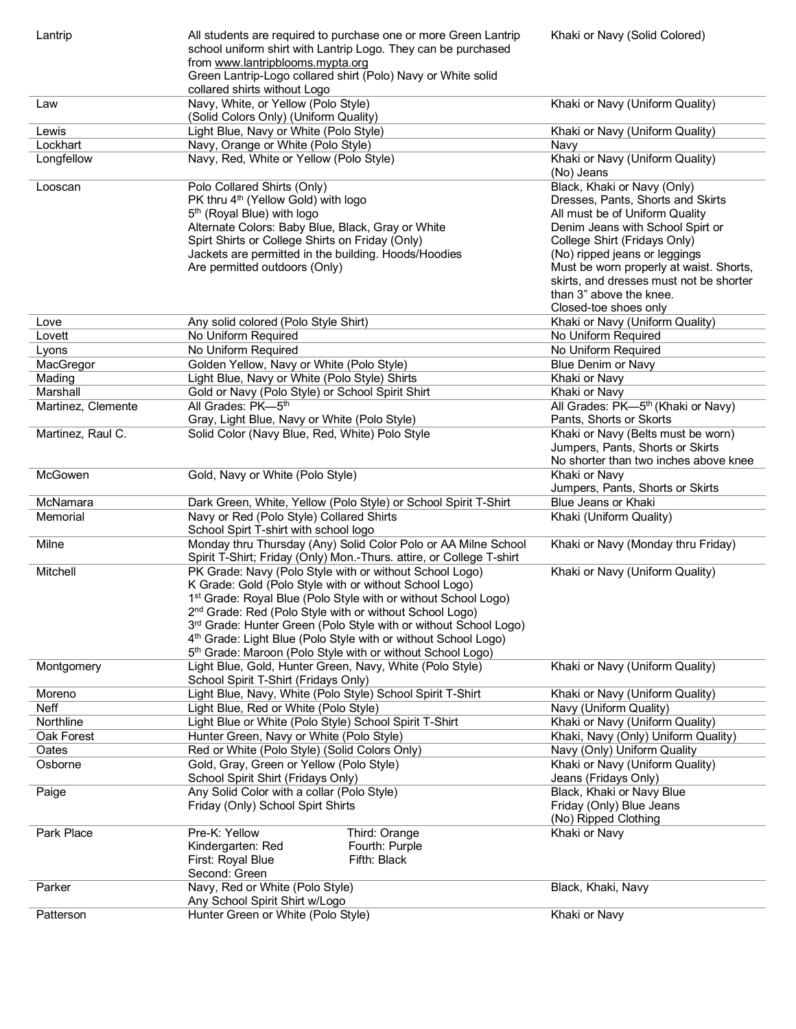| Lantrip            | All students are required to purchase one or more Green Lantrip<br>school uniform shirt with Lantrip Logo. They can be purchased<br>from www.lantripblooms.mypta.org<br>Green Lantrip-Logo collared shirt (Polo) Navy or White solid<br>collared shirts without Logo | Khaki or Navy (Solid Colored)                  |
|--------------------|----------------------------------------------------------------------------------------------------------------------------------------------------------------------------------------------------------------------------------------------------------------------|------------------------------------------------|
| Law                | Navy, White, or Yellow (Polo Style)                                                                                                                                                                                                                                  | Khaki or Navy (Uniform Quality)                |
|                    | (Solid Colors Only) (Uniform Quality)                                                                                                                                                                                                                                |                                                |
| Lewis              | Light Blue, Navy or White (Polo Style)                                                                                                                                                                                                                               | Khaki or Navy (Uniform Quality)                |
| Lockhart           | Navy, Orange or White (Polo Style)                                                                                                                                                                                                                                   | Navy                                           |
| Longfellow         | Navy, Red, White or Yellow (Polo Style)                                                                                                                                                                                                                              | Khaki or Navy (Uniform Quality)                |
|                    |                                                                                                                                                                                                                                                                      | (No) Jeans                                     |
| Looscan            | Polo Collared Shirts (Only)                                                                                                                                                                                                                                          | Black, Khaki or Navy (Only)                    |
|                    | PK thru 4 <sup>th</sup> (Yellow Gold) with logo                                                                                                                                                                                                                      | Dresses, Pants, Shorts and Skirts              |
|                    | 5 <sup>th</sup> (Royal Blue) with logo                                                                                                                                                                                                                               | All must be of Uniform Quality                 |
|                    | Alternate Colors: Baby Blue, Black, Gray or White                                                                                                                                                                                                                    | Denim Jeans with School Spirt or               |
|                    | Spirt Shirts or College Shirts on Friday (Only)                                                                                                                                                                                                                      | College Shirt (Fridays Only)                   |
|                    | Jackets are permitted in the building. Hoods/Hoodies                                                                                                                                                                                                                 | (No) ripped jeans or leggings                  |
|                    | Are permitted outdoors (Only)                                                                                                                                                                                                                                        | Must be worn properly at waist. Shorts,        |
|                    |                                                                                                                                                                                                                                                                      | skirts, and dresses must not be shorter        |
|                    |                                                                                                                                                                                                                                                                      | than 3" above the knee.                        |
|                    |                                                                                                                                                                                                                                                                      | Closed-toe shoes only                          |
| Love               | Any solid colored (Polo Style Shirt)                                                                                                                                                                                                                                 | Khaki or Navy (Uniform Quality)                |
| Lovett             | No Uniform Required                                                                                                                                                                                                                                                  | No Uniform Required                            |
| Lyons              | No Uniform Required                                                                                                                                                                                                                                                  | No Uniform Required                            |
| MacGregor          | Golden Yellow, Navy or White (Polo Style)                                                                                                                                                                                                                            | Blue Denim or Navy                             |
| Mading             | Light Blue, Navy or White (Polo Style) Shirts                                                                                                                                                                                                                        | Khaki or Navy                                  |
| Marshall           | Gold or Navy (Polo Style) or School Spirit Shirt                                                                                                                                                                                                                     | Khaki or Navy                                  |
| Martinez, Clemente | All Grades: PK-5 <sup>th</sup>                                                                                                                                                                                                                                       | All Grades: PK-5 <sup>th</sup> (Khaki or Navy) |
|                    | Gray, Light Blue, Navy or White (Polo Style)                                                                                                                                                                                                                         | Pants, Shorts or Skorts                        |
| Martinez, Raul C.  | Solid Color (Navy Blue, Red, White) Polo Style                                                                                                                                                                                                                       | Khaki or Navy (Belts must be worn)             |
|                    |                                                                                                                                                                                                                                                                      | Jumpers, Pants, Shorts or Skirts               |
|                    |                                                                                                                                                                                                                                                                      | No shorter than two inches above knee          |
| McGowen            | Gold, Navy or White (Polo Style)                                                                                                                                                                                                                                     | Khaki or Navy                                  |
|                    |                                                                                                                                                                                                                                                                      | Jumpers, Pants, Shorts or Skirts               |
| McNamara           | Dark Green, White, Yellow (Polo Style) or School Spirit T-Shirt                                                                                                                                                                                                      | Blue Jeans or Khaki                            |
| Memorial           | Navy or Red (Polo Style) Collared Shirts                                                                                                                                                                                                                             | Khaki (Uniform Quality)                        |
|                    | School Spirt T-shirt with school logo                                                                                                                                                                                                                                |                                                |
| Milne              | Monday thru Thursday (Any) Solid Color Polo or AA Milne School                                                                                                                                                                                                       | Khaki or Navy (Monday thru Friday)             |
|                    | Spirit T-Shirt; Friday (Only) Mon.-Thurs. attire, or College T-shirt                                                                                                                                                                                                 |                                                |
| Mitchell           | PK Grade: Navy (Polo Style with or without School Logo)<br>K Grade: Gold (Polo Style with or without School Logo)                                                                                                                                                    | Khaki or Navy (Uniform Quality)                |
|                    |                                                                                                                                                                                                                                                                      |                                                |
|                    | 1 <sup>st</sup> Grade: Royal Blue (Polo Style with or without School Logo)<br>2 <sup>nd</sup> Grade: Red (Polo Style with or without School Logo)                                                                                                                    |                                                |
|                    | 3rd Grade: Hunter Green (Polo Style with or without School Logo)                                                                                                                                                                                                     |                                                |
|                    | 4 <sup>th</sup> Grade: Light Blue (Polo Style with or without School Logo)                                                                                                                                                                                           |                                                |
|                    | 5 <sup>th</sup> Grade: Maroon (Polo Style with or without School Logo)                                                                                                                                                                                               |                                                |
| Montgomery         | Light Blue, Gold, Hunter Green, Navy, White (Polo Style)                                                                                                                                                                                                             | Khaki or Navy (Uniform Quality)                |
|                    | School Spirit T-Shirt (Fridays Only)                                                                                                                                                                                                                                 |                                                |
| Moreno             | Light Blue, Navy, White (Polo Style) School Spirit T-Shirt                                                                                                                                                                                                           | Khaki or Navy (Uniform Quality)                |
| Neff               | Light Blue, Red or White (Polo Style)                                                                                                                                                                                                                                | Navy (Uniform Quality)                         |
| Northline          | Light Blue or White (Polo Style) School Spirit T-Shirt                                                                                                                                                                                                               | Khaki or Navy (Uniform Quality)                |
| Oak Forest         | Hunter Green, Navy or White (Polo Style)                                                                                                                                                                                                                             | Khaki, Navy (Only) Uniform Quality)            |
| Oates              | Red or White (Polo Style) (Solid Colors Only)                                                                                                                                                                                                                        | Navy (Only) Uniform Quality                    |
| Osborne            | Gold, Gray, Green or Yellow (Polo Style)                                                                                                                                                                                                                             | Khaki or Navy (Uniform Quality)                |
|                    | School Spirit Shirt (Fridays Only)                                                                                                                                                                                                                                   | Jeans (Fridays Only)                           |
| Paige              | Any Solid Color with a collar (Polo Style)                                                                                                                                                                                                                           | Black, Khaki or Navy Blue                      |
|                    | Friday (Only) School Spirt Shirts                                                                                                                                                                                                                                    | Friday (Only) Blue Jeans                       |
|                    |                                                                                                                                                                                                                                                                      | (No) Ripped Clothing                           |
| Park Place         | Pre-K: Yellow<br>Third: Orange                                                                                                                                                                                                                                       | Khaki or Navy                                  |
|                    | Kindergarten: Red<br>Fourth: Purple                                                                                                                                                                                                                                  |                                                |
|                    | Fifth: Black<br>First: Royal Blue                                                                                                                                                                                                                                    |                                                |
|                    | Second: Green                                                                                                                                                                                                                                                        |                                                |
| Parker             | Navy, Red or White (Polo Style)                                                                                                                                                                                                                                      | Black, Khaki, Navy                             |
|                    | Any School Spirit Shirt w/Logo                                                                                                                                                                                                                                       |                                                |
| Patterson          | Hunter Green or White (Polo Style)                                                                                                                                                                                                                                   | Khaki or Navy                                  |
|                    |                                                                                                                                                                                                                                                                      |                                                |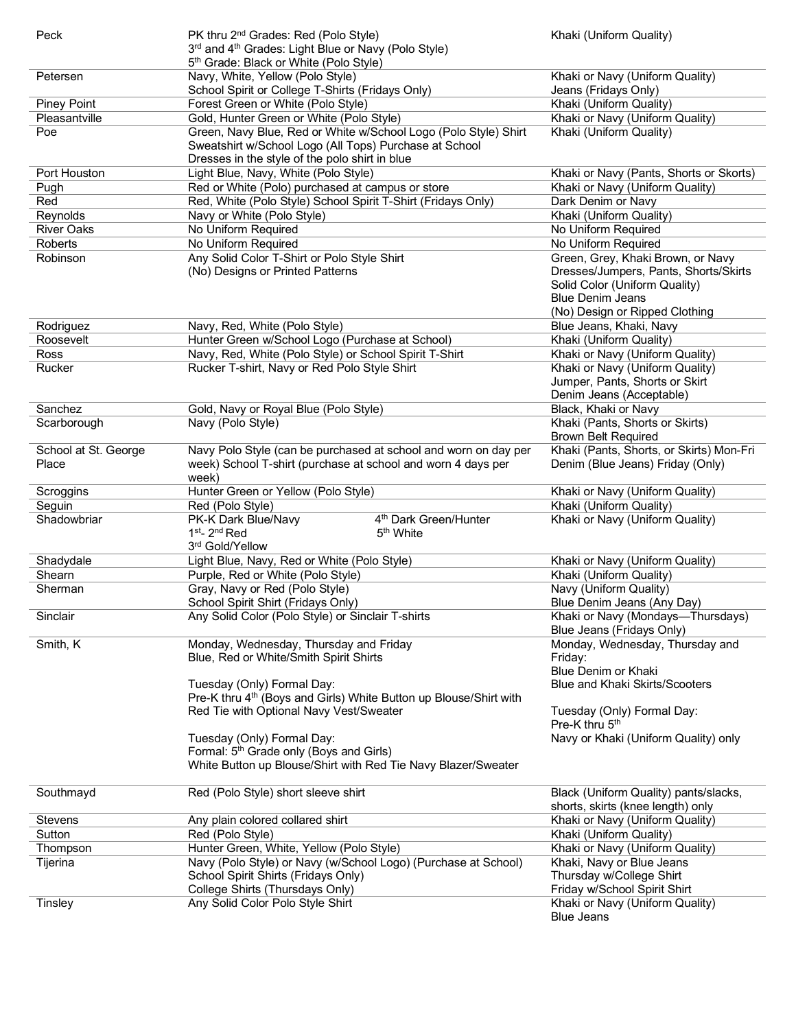| Peck                 | PK thru 2 <sup>nd</sup> Grades: Red (Polo Style)                              | Khaki (Uniform Quality)                  |
|----------------------|-------------------------------------------------------------------------------|------------------------------------------|
|                      | 3rd and 4 <sup>th</sup> Grades: Light Blue or Navy (Polo Style)               |                                          |
|                      | 5th Grade: Black or White (Polo Style)                                        |                                          |
| Petersen             | Navy, White, Yellow (Polo Style)                                              | Khaki or Navy (Uniform Quality)          |
|                      | School Spirit or College T-Shirts (Fridays Only)                              | Jeans (Fridays Only)                     |
|                      |                                                                               | Khaki (Uniform Quality)                  |
| <b>Piney Point</b>   | Forest Green or White (Polo Style)                                            |                                          |
| Pleasantville        | Gold, Hunter Green or White (Polo Style)                                      | Khaki or Navy (Uniform Quality)          |
| Poe                  | Green, Navy Blue, Red or White w/School Logo (Polo Style) Shirt               | Khaki (Uniform Quality)                  |
|                      | Sweatshirt w/School Logo (All Tops) Purchase at School                        |                                          |
|                      | Dresses in the style of the polo shirt in blue                                |                                          |
| Port Houston         | Light Blue, Navy, White (Polo Style)                                          | Khaki or Navy (Pants, Shorts or Skorts)  |
| Pugh                 | Red or White (Polo) purchased at campus or store                              | Khaki or Navy (Uniform Quality)          |
| Red                  | Red, White (Polo Style) School Spirit T-Shirt (Fridays Only)                  | Dark Denim or Navy                       |
| Reynolds             | Navy or White (Polo Style)                                                    | Khaki (Uniform Quality)                  |
| <b>River Oaks</b>    | No Uniform Required                                                           | No Uniform Required                      |
|                      |                                                                               |                                          |
| Roberts              | No Uniform Required                                                           | No Uniform Required                      |
| Robinson             | Any Solid Color T-Shirt or Polo Style Shirt                                   | Green, Grey, Khaki Brown, or Navy        |
|                      | (No) Designs or Printed Patterns                                              | Dresses/Jumpers, Pants, Shorts/Skirts    |
|                      |                                                                               | Solid Color (Uniform Quality)            |
|                      |                                                                               | <b>Blue Denim Jeans</b>                  |
|                      |                                                                               | (No) Design or Ripped Clothing           |
| Rodriguez            | Navy, Red, White (Polo Style)                                                 | Blue Jeans, Khaki, Navy                  |
| Roosevelt            | Hunter Green w/School Logo (Purchase at School)                               | Khaki (Uniform Quality)                  |
| Ross                 | Navy, Red, White (Polo Style) or School Spirit T-Shirt                        | Khaki or Navy (Uniform Quality)          |
|                      |                                                                               |                                          |
| Rucker               | Rucker T-shirt, Navy or Red Polo Style Shirt                                  | Khaki or Navy (Uniform Quality)          |
|                      |                                                                               | Jumper, Pants, Shorts or Skirt           |
|                      |                                                                               | Denim Jeans (Acceptable)                 |
| Sanchez              | Gold, Navy or Royal Blue (Polo Style)                                         | Black, Khaki or Navy                     |
| Scarborough          | Navy (Polo Style)                                                             | Khaki (Pants, Shorts or Skirts)          |
|                      |                                                                               | <b>Brown Belt Required</b>               |
| School at St. George | Navy Polo Style (can be purchased at school and worn on day per               | Khaki (Pants, Shorts, or Skirts) Mon-Fri |
| Place                | week) School T-shirt (purchase at school and worn 4 days per                  | Denim (Blue Jeans) Friday (Only)         |
|                      | week)                                                                         |                                          |
| Scroggins            | Hunter Green or Yellow (Polo Style)                                           | Khaki or Navy (Uniform Quality)          |
|                      | Red (Polo Style)                                                              | Khaki (Uniform Quality)                  |
| Seguin               |                                                                               |                                          |
| Shadowbriar          | PK-K Dark Blue/Navy<br>4 <sup>th</sup> Dark Green/Hunter                      | Khaki or Navy (Uniform Quality)          |
|                      | $1st - 2nd Red$<br>5 <sup>th</sup> White                                      |                                          |
|                      | 3rd Gold/Yellow                                                               |                                          |
| Shadydale            | Light Blue, Navy, Red or White (Polo Style)                                   | Khaki or Navy (Uniform Quality)          |
| Shearn               | Purple, Red or White (Polo Style)                                             | Khaki (Uniform Quality)                  |
| Sherman              | Gray, Navy or Red (Polo Style)                                                | Navy (Uniform Quality)                   |
|                      | School Spirit Shirt (Fridays Only)                                            | Blue Denim Jeans (Any Day)               |
| Sinclair             | Any Solid Color (Polo Style) or Sinclair T-shirts                             | Khaki or Navy (Mondays—Thursdays)        |
|                      |                                                                               | Blue Jeans (Fridays Only)                |
| Smith, K             | Monday, Wednesday, Thursday and Friday                                        | Monday, Wednesday, Thursday and          |
|                      |                                                                               |                                          |
|                      | Blue, Red or White/Smith Spirit Shirts                                        | Friday:                                  |
|                      |                                                                               | Blue Denim or Khaki                      |
|                      | Tuesday (Only) Formal Day:                                                    | Blue and Khaki Skirts/Scooters           |
|                      | Pre-K thru 4 <sup>th</sup> (Boys and Girls) White Button up Blouse/Shirt with |                                          |
|                      | Red Tie with Optional Navy Vest/Sweater                                       | Tuesday (Only) Formal Day:               |
|                      |                                                                               | Pre-K thru 5 <sup>th</sup>               |
|                      | Tuesday (Only) Formal Day:                                                    | Navy or Khaki (Uniform Quality) only     |
|                      | Formal: 5 <sup>th</sup> Grade only (Boys and Girls)                           |                                          |
|                      | White Button up Blouse/Shirt with Red Tie Navy Blazer/Sweater                 |                                          |
|                      |                                                                               |                                          |
| Southmayd            | Red (Polo Style) short sleeve shirt                                           | Black (Uniform Quality) pants/slacks,    |
|                      |                                                                               | shorts, skirts (knee length) only        |
|                      |                                                                               |                                          |
| Stevens              | Any plain colored collared shirt                                              | Khaki or Navy (Uniform Quality)          |
| Sutton               | Red (Polo Style)                                                              | Khaki (Uniform Quality)                  |
| Thompson             | Hunter Green, White, Yellow (Polo Style)                                      | Khaki or Navy (Uniform Quality)          |
| Tijerina             | Navy (Polo Style) or Navy (w/School Logo) (Purchase at School)                | Khaki, Navy or Blue Jeans                |
|                      | School Spirit Shirts (Fridays Only)                                           | Thursday w/College Shirt                 |
|                      | College Shirts (Thursdays Only)                                               | Friday w/School Spirit Shirt             |
| Tinsley              | Any Solid Color Polo Style Shirt                                              | Khaki or Navy (Uniform Quality)          |
|                      |                                                                               | <b>Blue Jeans</b>                        |
|                      |                                                                               |                                          |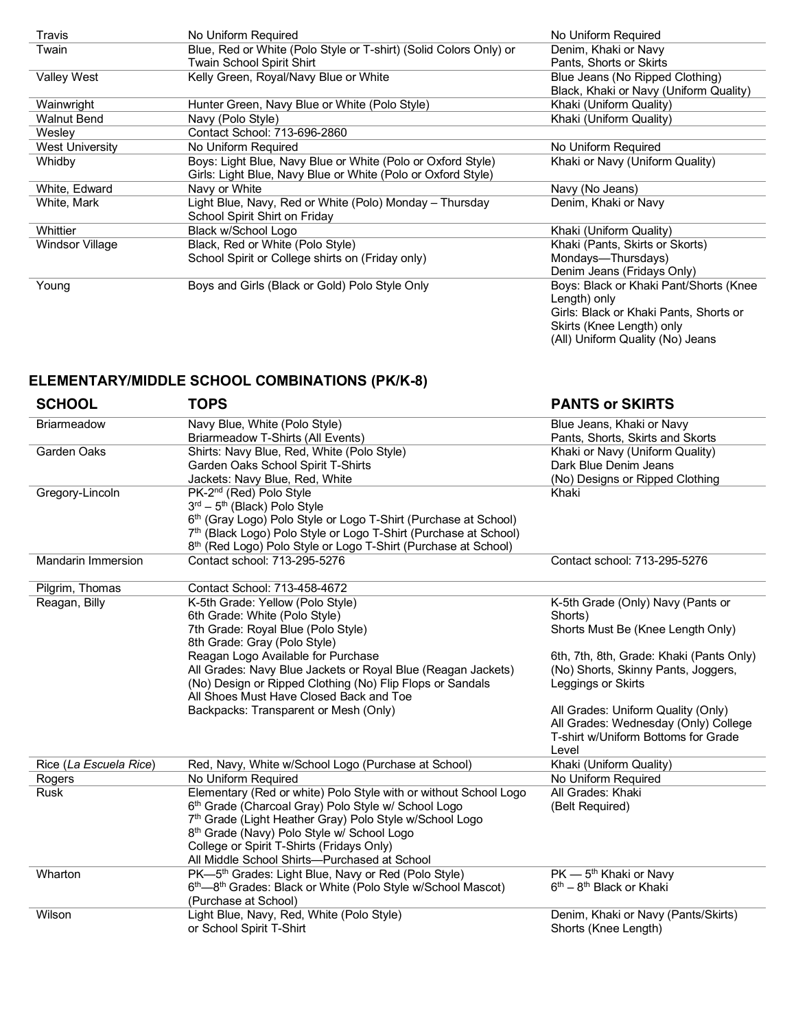| Travis                 | No Uniform Required                                               | No Uniform Required                    |
|------------------------|-------------------------------------------------------------------|----------------------------------------|
| Twain                  | Blue, Red or White (Polo Style or T-shirt) (Solid Colors Only) or | Denim, Khaki or Navy                   |
|                        | Twain School Spirit Shirt                                         | Pants, Shorts or Skirts                |
| <b>Valley West</b>     | Kelly Green, Royal/Navy Blue or White                             | Blue Jeans (No Ripped Clothing)        |
|                        |                                                                   | Black, Khaki or Navy (Uniform Quality) |
| Wainwright             | Hunter Green, Navy Blue or White (Polo Style)                     | Khaki (Uniform Quality)                |
| <b>Walnut Bend</b>     | Navy (Polo Style)                                                 | Khaki (Uniform Quality)                |
| Wesley                 | Contact School: 713-696-2860                                      |                                        |
| <b>West University</b> | No Uniform Required                                               | No Uniform Required                    |
| Whidby                 | Boys: Light Blue, Navy Blue or White (Polo or Oxford Style)       | Khaki or Navy (Uniform Quality)        |
|                        | Girls: Light Blue, Navy Blue or White (Polo or Oxford Style)      |                                        |
| White, Edward          | Navy or White                                                     | Navy (No Jeans)                        |
| White, Mark            | Light Blue, Navy, Red or White (Polo) Monday – Thursday           | Denim, Khaki or Navy                   |
|                        | School Spirit Shirt on Friday                                     |                                        |
| Whittier               | Black w/School Logo                                               | Khaki (Uniform Quality)                |
| Windsor Village        | Black, Red or White (Polo Style)                                  | Khaki (Pants, Skirts or Skorts)        |
|                        | School Spirit or College shirts on (Friday only)                  | Mondays-Thursdays)                     |
|                        |                                                                   | Denim Jeans (Fridays Only)             |
| Young                  | Boys and Girls (Black or Gold) Polo Style Only                    | Boys: Black or Khaki Pant/Shorts (Knee |
|                        |                                                                   | Length) only                           |
|                        |                                                                   | Girls: Black or Khaki Pants, Shorts or |
|                        |                                                                   | Skirts (Knee Length) only              |

(All) Uniform Quality (No) Jeans

## **ELEMENTARY/MIDDLE SCHOOL COMBINATIONS (PK/K-8)**

| <b>SCHOOL</b>             | <b>TOPS</b>                                                                                                                                                                                                                                                                                                                   | <b>PANTS or SKIRTS</b>                                                                                                     |
|---------------------------|-------------------------------------------------------------------------------------------------------------------------------------------------------------------------------------------------------------------------------------------------------------------------------------------------------------------------------|----------------------------------------------------------------------------------------------------------------------------|
| <b>Briarmeadow</b>        | Navy Blue, White (Polo Style)<br>Briarmeadow T-Shirts (All Events)                                                                                                                                                                                                                                                            | Blue Jeans, Khaki or Navy<br>Pants, Shorts, Skirts and Skorts                                                              |
| Garden Oaks               | Shirts: Navy Blue, Red, White (Polo Style)<br>Garden Oaks School Spirit T-Shirts<br>Jackets: Navy Blue, Red, White                                                                                                                                                                                                            | Khaki or Navy (Uniform Quality)<br>Dark Blue Denim Jeans<br>(No) Designs or Ripped Clothing                                |
| Gregory-Lincoln           | PK-2 <sup>nd</sup> (Red) Polo Style<br>$3rd - 5th$ (Black) Polo Style<br>6 <sup>th</sup> (Gray Logo) Polo Style or Logo T-Shirt (Purchase at School)<br>7 <sup>th</sup> (Black Logo) Polo Style or Logo T-Shirt (Purchase at School)<br>8 <sup>th</sup> (Red Logo) Polo Style or Logo T-Shirt (Purchase at School)            | Khaki                                                                                                                      |
| <b>Mandarin Immersion</b> | Contact school: 713-295-5276                                                                                                                                                                                                                                                                                                  | Contact school: 713-295-5276                                                                                               |
| Pilgrim, Thomas           | Contact School: 713-458-4672                                                                                                                                                                                                                                                                                                  |                                                                                                                            |
| Reagan, Billy             | K-5th Grade: Yellow (Polo Style)<br>6th Grade: White (Polo Style)<br>7th Grade: Royal Blue (Polo Style)<br>8th Grade: Gray (Polo Style)                                                                                                                                                                                       | K-5th Grade (Only) Navy (Pants or<br>Shorts)<br>Shorts Must Be (Knee Length Only)                                          |
|                           | Reagan Logo Available for Purchase<br>All Grades: Navy Blue Jackets or Royal Blue (Reagan Jackets)<br>(No) Design or Ripped Clothing (No) Flip Flops or Sandals<br>All Shoes Must Have Closed Back and Toe                                                                                                                    | 6th, 7th, 8th, Grade: Khaki (Pants Only)<br>(No) Shorts, Skinny Pants, Joggers,<br>Leggings or Skirts                      |
|                           | Backpacks: Transparent or Mesh (Only)                                                                                                                                                                                                                                                                                         | All Grades: Uniform Quality (Only)<br>All Grades: Wednesday (Only) College<br>T-shirt w/Uniform Bottoms for Grade<br>Level |
| Rice (La Escuela Rice)    | Red, Navy, White w/School Logo (Purchase at School)                                                                                                                                                                                                                                                                           | Khaki (Uniform Quality)                                                                                                    |
| Rogers                    | No Uniform Required                                                                                                                                                                                                                                                                                                           | No Uniform Required                                                                                                        |
| <b>Rusk</b>               | Elementary (Red or white) Polo Style with or without School Logo<br>6th Grade (Charcoal Gray) Polo Style w/ School Logo<br>7th Grade (Light Heather Gray) Polo Style w/School Logo<br>8th Grade (Navy) Polo Style w/ School Logo<br>College or Spirit T-Shirts (Fridays Only)<br>All Middle School Shirts-Purchased at School | All Grades: Khaki<br>(Belt Required)                                                                                       |
| Wharton                   | PK-5 <sup>th</sup> Grades: Light Blue, Navy or Red (Polo Style)<br>6th-8th Grades: Black or White (Polo Style w/School Mascot)<br>(Purchase at School)                                                                                                                                                                        | $PK - 5th$ Khaki or Navy<br>6 <sup>th</sup> – 8 <sup>th</sup> Black or Khaki                                               |
| Wilson                    | Light Blue, Navy, Red, White (Polo Style)<br>or School Spirit T-Shirt                                                                                                                                                                                                                                                         | Denim, Khaki or Navy (Pants/Skirts)<br>Shorts (Knee Length)                                                                |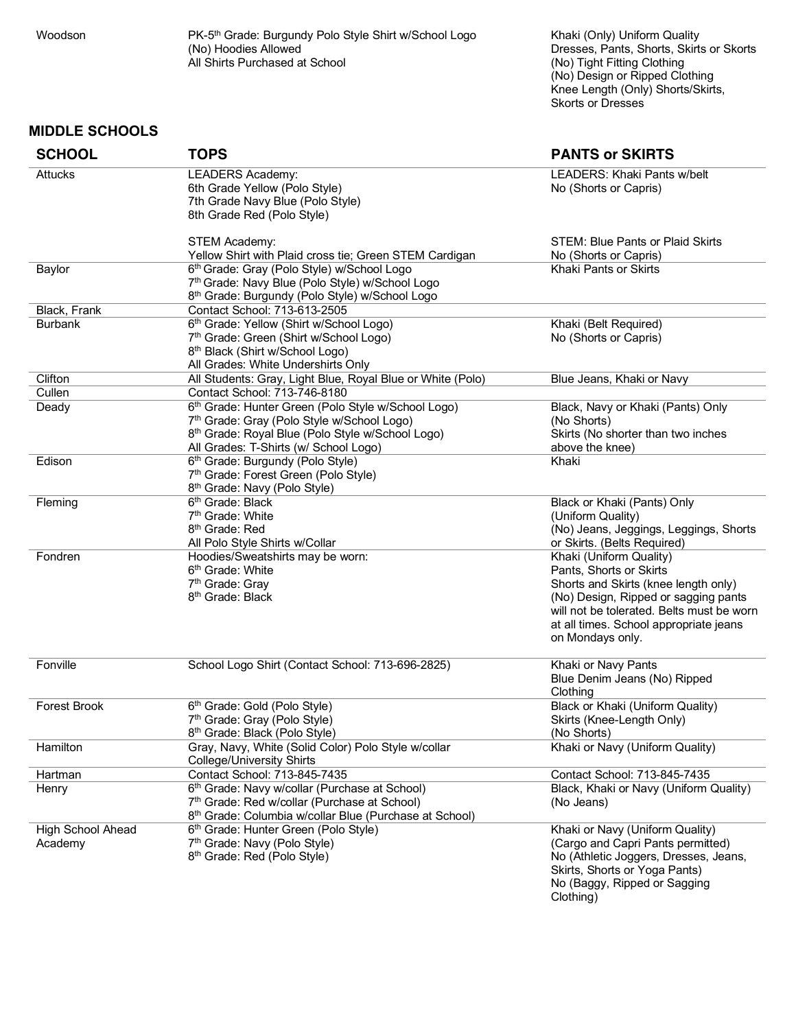÷

Woodson PK-5<sup>th</sup> Grade: Burgundy Polo Style Shirt w/School Logo (No) Hoodies Allowed All Shirts Purchased at School

Khaki (Only) Uniform Quality Dresses, Pants, Shorts, Skirts or Skorts (No) Tight Fitting Clothing (No) Design or Ripped Clothing Knee Length (Only) Shorts/Skirts, Skorts or Dresses

Clothing)

#### **MIDDLE SCHOOLS**

| <b>SCHOOL</b>                | <b>TOPS</b>                                                                                                                                                                                               | <b>PANTS or SKIRTS</b>                                                                                                                                                                                                                        |
|------------------------------|-----------------------------------------------------------------------------------------------------------------------------------------------------------------------------------------------------------|-----------------------------------------------------------------------------------------------------------------------------------------------------------------------------------------------------------------------------------------------|
| Attucks                      | <b>LEADERS Academy:</b><br>6th Grade Yellow (Polo Style)<br>7th Grade Navy Blue (Polo Style)<br>8th Grade Red (Polo Style)                                                                                | <b>LEADERS: Khaki Pants w/belt</b><br>No (Shorts or Capris)                                                                                                                                                                                   |
|                              | STEM Academy:<br>Yellow Shirt with Plaid cross tie; Green STEM Cardigan                                                                                                                                   | STEM: Blue Pants or Plaid Skirts<br>No (Shorts or Capris)                                                                                                                                                                                     |
| Baylor                       | 6th Grade: Gray (Polo Style) w/School Logo<br>7th Grade: Navy Blue (Polo Style) w/School Logo<br>8th Grade: Burgundy (Polo Style) w/School Logo                                                           | Khaki Pants or Skirts                                                                                                                                                                                                                         |
| Black, Frank                 | Contact School: 713-613-2505                                                                                                                                                                              |                                                                                                                                                                                                                                               |
| <b>Burbank</b>               | 6th Grade: Yellow (Shirt w/School Logo)<br>7th Grade: Green (Shirt w/School Logo)<br>8 <sup>th</sup> Black (Shirt w/School Logo)<br>All Grades: White Undershirts Only                                    | Khaki (Belt Required)<br>No (Shorts or Capris)                                                                                                                                                                                                |
| Clifton                      | All Students: Gray, Light Blue, Royal Blue or White (Polo)                                                                                                                                                | Blue Jeans, Khaki or Navy                                                                                                                                                                                                                     |
| Cullen                       | Contact School: 713-746-8180                                                                                                                                                                              |                                                                                                                                                                                                                                               |
| Deady                        | 6th Grade: Hunter Green (Polo Style w/School Logo)<br>7th Grade: Gray (Polo Style w/School Logo)<br>8 <sup>th</sup> Grade: Royal Blue (Polo Style w/School Logo)<br>All Grades: T-Shirts (w/ School Logo) | Black, Navy or Khaki (Pants) Only<br>(No Shorts)<br>Skirts (No shorter than two inches<br>above the knee)                                                                                                                                     |
| Edison                       | 6 <sup>th</sup> Grade: Burgundy (Polo Style)<br>7th Grade: Forest Green (Polo Style)<br>8 <sup>th</sup> Grade: Navy (Polo Style)                                                                          | Khaki                                                                                                                                                                                                                                         |
| Fleming                      | 6 <sup>th</sup> Grade: Black<br>7 <sup>th</sup> Grade: White<br>8 <sup>th</sup> Grade: Red<br>All Polo Style Shirts w/Collar                                                                              | Black or Khaki (Pants) Only<br>(Uniform Quality)<br>(No) Jeans, Jeggings, Leggings, Shorts<br>or Skirts. (Belts Required)                                                                                                                     |
| Fondren                      | Hoodies/Sweatshirts may be worn:<br>6 <sup>th</sup> Grade: White<br>7 <sup>th</sup> Grade: Gray<br>8 <sup>th</sup> Grade: Black                                                                           | Khaki (Uniform Quality)<br>Pants, Shorts or Skirts<br>Shorts and Skirts (knee length only)<br>(No) Design, Ripped or sagging pants<br>will not be tolerated. Belts must be worn<br>at all times. School appropriate jeans<br>on Mondays only. |
| Fonville                     | School Logo Shirt (Contact School: 713-696-2825)                                                                                                                                                          | Khaki or Navy Pants<br>Blue Denim Jeans (No) Ripped<br>Clothing                                                                                                                                                                               |
| Forest Brook                 | 6 <sup>th</sup> Grade: Gold (Polo Style)<br>7 <sup>th</sup> Grade: Gray (Polo Style)<br>8 <sup>th</sup> Grade: Black (Polo Style)                                                                         | Black or Khaki (Uniform Quality)<br>Skirts (Knee-Length Only)<br>(No Shorts)                                                                                                                                                                  |
| Hamilton                     | Gray, Navy, White (Solid Color) Polo Style w/collar<br><b>College/University Shirts</b>                                                                                                                   | Khaki or Navy (Uniform Quality)                                                                                                                                                                                                               |
| Hartman                      | Contact School: 713-845-7435                                                                                                                                                                              | Contact School: 713-845-7435                                                                                                                                                                                                                  |
| Henry                        | 6th Grade: Navy w/collar (Purchase at School)<br>7th Grade: Red w/collar (Purchase at School)<br>8 <sup>th</sup> Grade: Columbia w/collar Blue (Purchase at School)                                       | Black, Khaki or Navy (Uniform Quality)<br>(No Jeans)                                                                                                                                                                                          |
| High School Ahead<br>Academy | 6 <sup>th</sup> Grade: Hunter Green (Polo Style)<br>7 <sup>th</sup> Grade: Navy (Polo Style)<br>8 <sup>th</sup> Grade: Red (Polo Style)                                                                   | Khaki or Navy (Uniform Quality)<br>(Cargo and Capri Pants permitted)<br>No (Athletic Joggers, Dresses, Jeans,<br>Skirts, Shorts or Yoga Pants)<br>No (Baggy, Ripped or Sagging                                                                |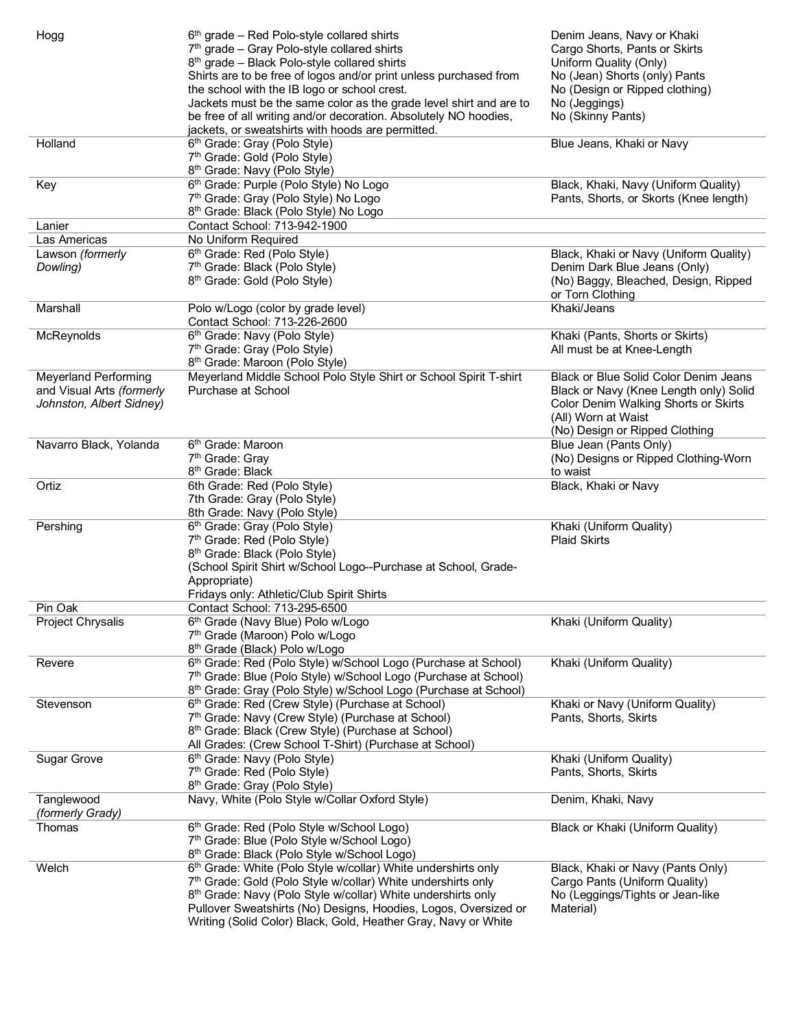| Hogg                                                  | $6th$ grade – Red Polo-style collared shirts<br>7 <sup>th</sup> grade - Gray Polo-style collared shirts<br>8 <sup>th</sup> grade - Black Polo-style collared shirts<br>Shirts are to be free of logos and/or print unless purchased from<br>the school with the IB logo or school crest.<br>Jackets must be the same color as the grade level shirt and are to<br>be free of all writing and/or decoration. Absolutely NO hoodies,<br>jackets, or sweatshirts with hoods are permitted. | Denim Jeans, Navy or Khaki<br>Cargo Shorts, Pants or Skirts<br>Uniform Quality (Only)<br>No (Jean) Shorts (only) Pants<br>No (Design or Ripped clothing)<br>No (Jeggings)<br>No (Skinny Pants) |
|-------------------------------------------------------|-----------------------------------------------------------------------------------------------------------------------------------------------------------------------------------------------------------------------------------------------------------------------------------------------------------------------------------------------------------------------------------------------------------------------------------------------------------------------------------------|------------------------------------------------------------------------------------------------------------------------------------------------------------------------------------------------|
| Holland                                               | 6 <sup>th</sup> Grade: Gray (Polo Style)<br>7 <sup>th</sup> Grade: Gold (Polo Style)<br>8 <sup>th</sup> Grade: Navy (Polo Style)                                                                                                                                                                                                                                                                                                                                                        | Blue Jeans, Khaki or Navy                                                                                                                                                                      |
| Key                                                   | 6th Grade: Purple (Polo Style) No Logo<br>7th Grade: Gray (Polo Style) No Logo<br>8 <sup>th</sup> Grade: Black (Polo Style) No Logo                                                                                                                                                                                                                                                                                                                                                     | Black, Khaki, Navy (Uniform Quality)<br>Pants, Shorts, or Skorts (Knee length)                                                                                                                 |
| Lanier                                                | Contact School: 713-942-1900                                                                                                                                                                                                                                                                                                                                                                                                                                                            |                                                                                                                                                                                                |
| Las Americas                                          | No Uniform Required                                                                                                                                                                                                                                                                                                                                                                                                                                                                     |                                                                                                                                                                                                |
| Lawson (formerly                                      | 6 <sup>th</sup> Grade: Red (Polo Style)                                                                                                                                                                                                                                                                                                                                                                                                                                                 | Black, Khaki or Navy (Uniform Quality)                                                                                                                                                         |
| Dowling)                                              | 7 <sup>th</sup> Grade: Black (Polo Style)                                                                                                                                                                                                                                                                                                                                                                                                                                               | Denim Dark Blue Jeans (Only)                                                                                                                                                                   |
|                                                       | 8 <sup>th</sup> Grade: Gold (Polo Style)                                                                                                                                                                                                                                                                                                                                                                                                                                                | (No) Baggy, Bleached, Design, Ripped<br>or Torn Clothing                                                                                                                                       |
| Marshall                                              | Polo w/Logo (color by grade level)<br>Contact School: 713-226-2600                                                                                                                                                                                                                                                                                                                                                                                                                      | Khaki/Jeans                                                                                                                                                                                    |
| McReynolds                                            | 6 <sup>th</sup> Grade: Navy (Polo Style)                                                                                                                                                                                                                                                                                                                                                                                                                                                | Khaki (Pants, Shorts or Skirts)                                                                                                                                                                |
|                                                       | 7 <sup>th</sup> Grade: Gray (Polo Style)                                                                                                                                                                                                                                                                                                                                                                                                                                                | All must be at Knee-Length                                                                                                                                                                     |
| <b>Meyerland Performing</b>                           | 8 <sup>th</sup> Grade: Maroon (Polo Style)<br>Meyerland Middle School Polo Style Shirt or School Spirit T-shirt                                                                                                                                                                                                                                                                                                                                                                         | <b>Black or Blue Solid Color Denim Jeans</b>                                                                                                                                                   |
| and Visual Arts (formerly<br>Johnston, Albert Sidney) | Purchase at School                                                                                                                                                                                                                                                                                                                                                                                                                                                                      | Black or Navy (Knee Length only) Solid<br>Color Denim Walking Shorts or Skirts<br>(All) Worn at Waist<br>(No) Design or Ripped Clothing                                                        |
| Navarro Black, Yolanda                                | 6 <sup>th</sup> Grade: Maroon                                                                                                                                                                                                                                                                                                                                                                                                                                                           | Blue Jean (Pants Only)                                                                                                                                                                         |
|                                                       | 7 <sup>th</sup> Grade: Gray<br>8 <sup>th</sup> Grade: Black                                                                                                                                                                                                                                                                                                                                                                                                                             | (No) Designs or Ripped Clothing-Worn<br>to waist                                                                                                                                               |
| Ortiz                                                 | 6th Grade: Red (Polo Style)                                                                                                                                                                                                                                                                                                                                                                                                                                                             | Black, Khaki or Navy                                                                                                                                                                           |
|                                                       | 7th Grade: Gray (Polo Style)<br>8th Grade: Navy (Polo Style)                                                                                                                                                                                                                                                                                                                                                                                                                            |                                                                                                                                                                                                |
| Pershing                                              | 6 <sup>th</sup> Grade: Gray (Polo Style)                                                                                                                                                                                                                                                                                                                                                                                                                                                | Khaki (Uniform Quality)                                                                                                                                                                        |
|                                                       | 7th Grade: Red (Polo Style)                                                                                                                                                                                                                                                                                                                                                                                                                                                             | <b>Plaid Skirts</b>                                                                                                                                                                            |
|                                                       | 8 <sup>th</sup> Grade: Black (Polo Style)                                                                                                                                                                                                                                                                                                                                                                                                                                               |                                                                                                                                                                                                |
|                                                       | (School Spirit Shirt w/School Logo--Purchase at School, Grade-                                                                                                                                                                                                                                                                                                                                                                                                                          |                                                                                                                                                                                                |
|                                                       | Appropriate)                                                                                                                                                                                                                                                                                                                                                                                                                                                                            |                                                                                                                                                                                                |
|                                                       | Fridays only: Athletic/Club Spirit Shirts                                                                                                                                                                                                                                                                                                                                                                                                                                               |                                                                                                                                                                                                |
| Pin Oak                                               | Contact School: 713-295-6500                                                                                                                                                                                                                                                                                                                                                                                                                                                            |                                                                                                                                                                                                |
| Project Chrysalis                                     | 6 <sup>th</sup> Grade (Navy Blue) Polo w/Logo                                                                                                                                                                                                                                                                                                                                                                                                                                           | Khaki (Uniform Quality)                                                                                                                                                                        |
|                                                       | 7 <sup>th</sup> Grade (Maroon) Polo w/Logo                                                                                                                                                                                                                                                                                                                                                                                                                                              |                                                                                                                                                                                                |
|                                                       | 8 <sup>th</sup> Grade (Black) Polo w/Logo                                                                                                                                                                                                                                                                                                                                                                                                                                               |                                                                                                                                                                                                |
| Revere                                                | 6th Grade: Red (Polo Style) w/School Logo (Purchase at School)                                                                                                                                                                                                                                                                                                                                                                                                                          | Khaki (Uniform Quality)                                                                                                                                                                        |
|                                                       | 7 <sup>th</sup> Grade: Blue (Polo Style) w/School Logo (Purchase at School)                                                                                                                                                                                                                                                                                                                                                                                                             |                                                                                                                                                                                                |
|                                                       | 8th Grade: Gray (Polo Style) w/School Logo (Purchase at School)                                                                                                                                                                                                                                                                                                                                                                                                                         |                                                                                                                                                                                                |
| Stevenson                                             | 6th Grade: Red (Crew Style) (Purchase at School)                                                                                                                                                                                                                                                                                                                                                                                                                                        | Khaki or Navy (Uniform Quality)                                                                                                                                                                |
|                                                       | 7th Grade: Navy (Crew Style) (Purchase at School)                                                                                                                                                                                                                                                                                                                                                                                                                                       | Pants, Shorts, Skirts                                                                                                                                                                          |
|                                                       | 8th Grade: Black (Crew Style) (Purchase at School)                                                                                                                                                                                                                                                                                                                                                                                                                                      |                                                                                                                                                                                                |
|                                                       | All Grades: (Crew School T-Shirt) (Purchase at School)                                                                                                                                                                                                                                                                                                                                                                                                                                  |                                                                                                                                                                                                |
| <b>Sugar Grove</b>                                    | 6 <sup>th</sup> Grade: Navy (Polo Style)                                                                                                                                                                                                                                                                                                                                                                                                                                                | Khaki (Uniform Quality)                                                                                                                                                                        |
|                                                       | 7 <sup>th</sup> Grade: Red (Polo Style)                                                                                                                                                                                                                                                                                                                                                                                                                                                 | Pants, Shorts, Skirts                                                                                                                                                                          |
|                                                       | 8 <sup>th</sup> Grade: Gray (Polo Style)<br>Navy, White (Polo Style w/Collar Oxford Style)                                                                                                                                                                                                                                                                                                                                                                                              |                                                                                                                                                                                                |
| Tanglewood<br>(formerly Grady)                        |                                                                                                                                                                                                                                                                                                                                                                                                                                                                                         | Denim, Khaki, Navy                                                                                                                                                                             |
| Thomas                                                | 6th Grade: Red (Polo Style w/School Logo)                                                                                                                                                                                                                                                                                                                                                                                                                                               | Black or Khaki (Uniform Quality)                                                                                                                                                               |
|                                                       | 7th Grade: Blue (Polo Style w/School Logo)                                                                                                                                                                                                                                                                                                                                                                                                                                              |                                                                                                                                                                                                |
|                                                       | 8 <sup>th</sup> Grade: Black (Polo Style w/School Logo)                                                                                                                                                                                                                                                                                                                                                                                                                                 |                                                                                                                                                                                                |
| Welch                                                 | 6th Grade: White (Polo Style w/collar) White undershirts only                                                                                                                                                                                                                                                                                                                                                                                                                           | Black, Khaki or Navy (Pants Only)                                                                                                                                                              |
|                                                       | 7th Grade: Gold (Polo Style w/collar) White undershirts only                                                                                                                                                                                                                                                                                                                                                                                                                            | Cargo Pants (Uniform Quality)                                                                                                                                                                  |
|                                                       | 8th Grade: Navy (Polo Style w/collar) White undershirts only                                                                                                                                                                                                                                                                                                                                                                                                                            | No (Leggings/Tights or Jean-like                                                                                                                                                               |
|                                                       | Pullover Sweatshirts (No) Designs, Hoodies, Logos, Oversized or                                                                                                                                                                                                                                                                                                                                                                                                                         | Material)                                                                                                                                                                                      |
|                                                       | Writing (Solid Color) Black, Gold, Heather Gray, Navy or White                                                                                                                                                                                                                                                                                                                                                                                                                          |                                                                                                                                                                                                |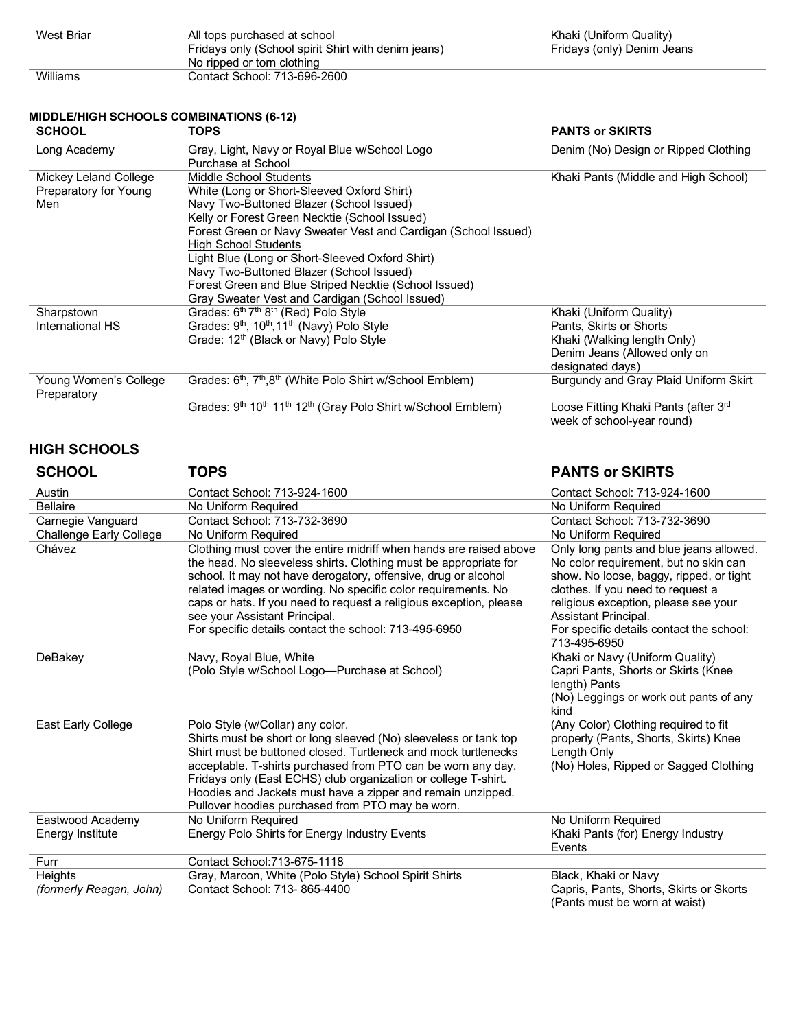| West Briar | All tops purchased at school<br>Fridays only (School spirit Shirt with denim jeans) |
|------------|-------------------------------------------------------------------------------------|
|            | No ripped or torn clothing                                                          |
| Williams   | Contact School: 713-696-2600                                                        |

#### **MIDDLE/HIGH SCHOOLS COMBINATIONS (6-12)**

| <b>SCHOOL</b>         | <b>TOPS</b>                                                                                                  | <b>PANTS or SKIRTS</b>                                                         |
|-----------------------|--------------------------------------------------------------------------------------------------------------|--------------------------------------------------------------------------------|
| Long Academy          | Gray, Light, Navy or Royal Blue w/School Logo                                                                | Denim (No) Design or Ripped Clothing                                           |
|                       | Purchase at School                                                                                           |                                                                                |
| Mickey Leland College | Middle School Students                                                                                       | Khaki Pants (Middle and High School)                                           |
| Preparatory for Young | White (Long or Short-Sleeved Oxford Shirt)                                                                   |                                                                                |
| Men                   | Navy Two-Buttoned Blazer (School Issued)                                                                     |                                                                                |
|                       | Kelly or Forest Green Necktie (School Issued)                                                                |                                                                                |
|                       | Forest Green or Navy Sweater Vest and Cardigan (School Issued)                                               |                                                                                |
|                       | <b>High School Students</b>                                                                                  |                                                                                |
|                       | Light Blue (Long or Short-Sleeved Oxford Shirt)                                                              |                                                                                |
|                       | Navy Two-Buttoned Blazer (School Issued)                                                                     |                                                                                |
|                       | Forest Green and Blue Striped Necktie (School Issued)                                                        |                                                                                |
|                       | Gray Sweater Vest and Cardigan (School Issued)                                                               |                                                                                |
| Sharpstown            | Grades: 6th 7th 8th (Red) Polo Style                                                                         | Khaki (Uniform Quality)                                                        |
| International HS      | Grades: 9 <sup>th</sup> , 10 <sup>th</sup> , 11 <sup>th</sup> (Navy) Polo Style                              | Pants, Skirts or Shorts                                                        |
|                       | Grade: 12 <sup>th</sup> (Black or Navy) Polo Style                                                           | Khaki (Walking length Only)                                                    |
|                       |                                                                                                              | Denim Jeans (Allowed only on                                                   |
|                       |                                                                                                              | designated days)                                                               |
| Young Women's College | Grades: 6 <sup>th</sup> , 7 <sup>th</sup> ,8 <sup>th</sup> (White Polo Shirt w/School Emblem)                | Burgundy and Gray Plaid Uniform Skirt                                          |
| Preparatory           |                                                                                                              |                                                                                |
|                       | Grades: 9 <sup>th</sup> 10 <sup>th</sup> 11 <sup>th</sup> 12 <sup>th</sup> (Gray Polo Shirt w/School Emblem) | Loose Fitting Khaki Pants (after 3 <sup>rd</sup><br>week of school-year round) |
|                       |                                                                                                              |                                                                                |

### **HIGH SCHOOLS**

## **SCHOOL TOPS PANTS or SKIRTS**

| Austin                             | Contact School: 713-924-1600                                                                                                                                                                                                                                                                                                                                                                                                              | Contact School: 713-924-1600                                                                                                                                                                                                                                                                 |
|------------------------------------|-------------------------------------------------------------------------------------------------------------------------------------------------------------------------------------------------------------------------------------------------------------------------------------------------------------------------------------------------------------------------------------------------------------------------------------------|----------------------------------------------------------------------------------------------------------------------------------------------------------------------------------------------------------------------------------------------------------------------------------------------|
| <b>Bellaire</b>                    | No Uniform Required                                                                                                                                                                                                                                                                                                                                                                                                                       | No Uniform Required                                                                                                                                                                                                                                                                          |
| Carnegie Vanguard                  | Contact School: 713-732-3690                                                                                                                                                                                                                                                                                                                                                                                                              | Contact School: 713-732-3690                                                                                                                                                                                                                                                                 |
| <b>Challenge Early College</b>     | No Uniform Required                                                                                                                                                                                                                                                                                                                                                                                                                       | No Uniform Required                                                                                                                                                                                                                                                                          |
| Chávez                             | Clothing must cover the entire midriff when hands are raised above<br>the head. No sleeveless shirts. Clothing must be appropriate for<br>school. It may not have derogatory, offensive, drug or alcohol<br>related images or wording. No specific color requirements. No<br>caps or hats. If you need to request a religious exception, please<br>see your Assistant Principal.<br>For specific details contact the school: 713-495-6950 | Only long pants and blue jeans allowed.<br>No color requirement, but no skin can<br>show. No loose, baggy, ripped, or tight<br>clothes. If you need to request a<br>religious exception, please see your<br>Assistant Principal.<br>For specific details contact the school:<br>713-495-6950 |
| DeBakey                            | Navy, Royal Blue, White<br>(Polo Style w/School Logo-Purchase at School)                                                                                                                                                                                                                                                                                                                                                                  | Khaki or Navy (Uniform Quality)<br>Capri Pants, Shorts or Skirts (Knee<br>length) Pants<br>(No) Leggings or work out pants of any<br>kind                                                                                                                                                    |
| East Early College                 | Polo Style (w/Collar) any color.<br>Shirts must be short or long sleeved (No) sleeveless or tank top<br>Shirt must be buttoned closed. Turtleneck and mock turtlenecks<br>acceptable. T-shirts purchased from PTO can be worn any day.<br>Fridays only (East ECHS) club organization or college T-shirt.<br>Hoodies and Jackets must have a zipper and remain unzipped.<br>Pullover hoodies purchased from PTO may be worn.               | (Any Color) Clothing required to fit<br>properly (Pants, Shorts, Skirts) Knee<br>Length Only<br>(No) Holes, Ripped or Sagged Clothing                                                                                                                                                        |
| Eastwood Academy                   | No Uniform Required                                                                                                                                                                                                                                                                                                                                                                                                                       | No Uniform Required                                                                                                                                                                                                                                                                          |
| Energy Institute                   | Energy Polo Shirts for Energy Industry Events                                                                                                                                                                                                                                                                                                                                                                                             | Khaki Pants (for) Energy Industry<br>Events                                                                                                                                                                                                                                                  |
| Furr                               | Contact School: 713-675-1118                                                                                                                                                                                                                                                                                                                                                                                                              |                                                                                                                                                                                                                                                                                              |
| Heights<br>(formerly Reagan, John) | Gray, Maroon, White (Polo Style) School Spirit Shirts<br>Contact School: 713-865-4400                                                                                                                                                                                                                                                                                                                                                     | Black, Khaki or Navy<br>Capris, Pants, Shorts, Skirts or Skorts<br>(Pants must be worn at waist)                                                                                                                                                                                             |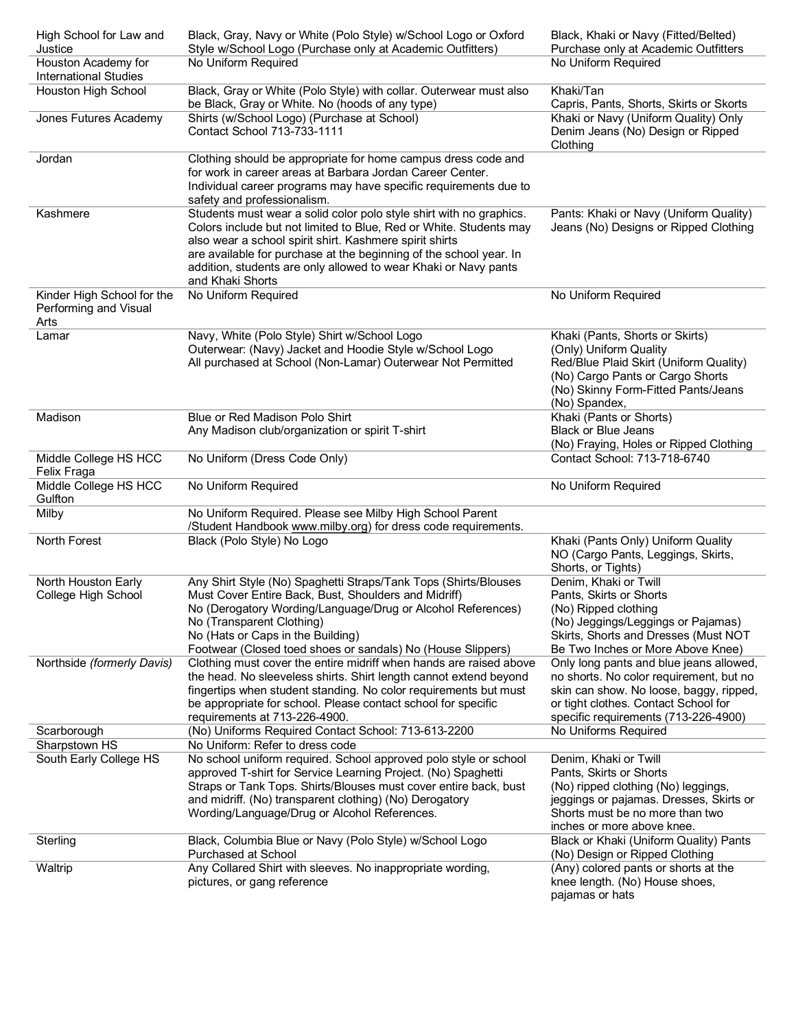| High School for Law and<br>Justice                          | Black, Gray, Navy or White (Polo Style) w/School Logo or Oxford<br>Style w/School Logo (Purchase only at Academic Outfitters)                                                                                                                                                                                                                                     | Black, Khaki or Navy (Fitted/Belted)<br>Purchase only at Academic Outfitters                                                                                                                                  |
|-------------------------------------------------------------|-------------------------------------------------------------------------------------------------------------------------------------------------------------------------------------------------------------------------------------------------------------------------------------------------------------------------------------------------------------------|---------------------------------------------------------------------------------------------------------------------------------------------------------------------------------------------------------------|
| Houston Academy for<br><b>International Studies</b>         | No Uniform Required                                                                                                                                                                                                                                                                                                                                               | No Uniform Required                                                                                                                                                                                           |
| Houston High School                                         | Black, Gray or White (Polo Style) with collar. Outerwear must also<br>be Black, Gray or White. No (hoods of any type)                                                                                                                                                                                                                                             | Khaki/Tan<br>Capris, Pants, Shorts, Skirts or Skorts                                                                                                                                                          |
| Jones Futures Academy                                       | Shirts (w/School Logo) (Purchase at School)<br>Contact School 713-733-1111                                                                                                                                                                                                                                                                                        | Khaki or Navy (Uniform Quality) Only<br>Denim Jeans (No) Design or Ripped<br>Clothing                                                                                                                         |
| Jordan                                                      | Clothing should be appropriate for home campus dress code and<br>for work in career areas at Barbara Jordan Career Center.<br>Individual career programs may have specific requirements due to<br>safety and professionalism.                                                                                                                                     |                                                                                                                                                                                                               |
| Kashmere                                                    | Students must wear a solid color polo style shirt with no graphics.<br>Colors include but not limited to Blue, Red or White. Students may<br>also wear a school spirit shirt. Kashmere spirit shirts<br>are available for purchase at the beginning of the school year. In<br>addition, students are only allowed to wear Khaki or Navy pants<br>and Khaki Shorts | Pants: Khaki or Navy (Uniform Quality)<br>Jeans (No) Designs or Ripped Clothing                                                                                                                               |
| Kinder High School for the<br>Performing and Visual<br>Arts | No Uniform Required                                                                                                                                                                                                                                                                                                                                               | No Uniform Required                                                                                                                                                                                           |
| Lamar                                                       | Navy, White (Polo Style) Shirt w/School Logo<br>Outerwear: (Navy) Jacket and Hoodie Style w/School Logo<br>All purchased at School (Non-Lamar) Outerwear Not Permitted                                                                                                                                                                                            | Khaki (Pants, Shorts or Skirts)<br>(Only) Uniform Quality<br>Red/Blue Plaid Skirt (Uniform Quality)<br>(No) Cargo Pants or Cargo Shorts<br>(No) Skinny Form-Fitted Pants/Jeans<br>(No) Spandex,               |
| Madison                                                     | Blue or Red Madison Polo Shirt<br>Any Madison club/organization or spirit T-shirt                                                                                                                                                                                                                                                                                 | Khaki (Pants or Shorts)<br><b>Black or Blue Jeans</b><br>(No) Fraying, Holes or Ripped Clothing                                                                                                               |
| Middle College HS HCC<br>Felix Fraga                        | No Uniform (Dress Code Only)                                                                                                                                                                                                                                                                                                                                      | Contact School: 713-718-6740                                                                                                                                                                                  |
| Middle College HS HCC<br>Gulfton                            | No Uniform Required                                                                                                                                                                                                                                                                                                                                               | No Uniform Required                                                                                                                                                                                           |
| Milby                                                       | No Uniform Required. Please see Milby High School Parent<br>/Student Handbook www.milby.org) for dress code requirements.                                                                                                                                                                                                                                         |                                                                                                                                                                                                               |
| North Forest                                                | Black (Polo Style) No Logo                                                                                                                                                                                                                                                                                                                                        | Khaki (Pants Only) Uniform Quality<br>NO (Cargo Pants, Leggings, Skirts,<br>Shorts, or Tights)                                                                                                                |
| North Houston Early<br>College High School                  | Any Shirt Style (No) Spaghetti Straps/Tank Tops (Shirts/Blouses<br>Must Cover Entire Back, Bust, Shoulders and Midriff)<br>No (Derogatory Wording/Language/Drug or Alcohol References)<br>No (Transparent Clothing)<br>No (Hats or Caps in the Building)<br>Footwear (Closed toed shoes or sandals) No (House Slippers)                                           | Denim, Khaki or Twill<br>Pants, Skirts or Shorts<br>(No) Ripped clothing<br>(No) Jeggings/Leggings or Pajamas)<br>Skirts, Shorts and Dresses (Must NOT<br>Be Two Inches or More Above Knee)                   |
| Northside (formerly Davis)                                  | Clothing must cover the entire midriff when hands are raised above<br>the head. No sleeveless shirts. Shirt length cannot extend beyond<br>fingertips when student standing. No color requirements but must<br>be appropriate for school. Please contact school for specific<br>requirements at 713-226-4900.                                                     | Only long pants and blue jeans allowed,<br>no shorts. No color requirement, but no<br>skin can show. No loose, baggy, ripped,<br>or tight clothes. Contact School for<br>specific requirements (713-226-4900) |
| Scarborough                                                 | (No) Uniforms Required Contact School: 713-613-2200                                                                                                                                                                                                                                                                                                               | No Uniforms Required                                                                                                                                                                                          |
| Sharpstown HS<br>South Early College HS                     | No Uniform: Refer to dress code<br>No school uniform required. School approved polo style or school                                                                                                                                                                                                                                                               | Denim, Khaki or Twill                                                                                                                                                                                         |
|                                                             | approved T-shirt for Service Learning Project. (No) Spaghetti<br>Straps or Tank Tops. Shirts/Blouses must cover entire back, bust<br>and midriff. (No) transparent clothing) (No) Derogatory<br>Wording/Language/Drug or Alcohol References.                                                                                                                      | Pants, Skirts or Shorts<br>(No) ripped clothing (No) leggings,<br>jeggings or pajamas. Dresses, Skirts or<br>Shorts must be no more than two<br>inches or more above knee.                                    |
| Sterling                                                    | Black, Columbia Blue or Navy (Polo Style) w/School Logo<br>Purchased at School                                                                                                                                                                                                                                                                                    | Black or Khaki (Uniform Quality) Pants<br>(No) Design or Ripped Clothing                                                                                                                                      |
| Waltrip                                                     | Any Collared Shirt with sleeves. No inappropriate wording,<br>pictures, or gang reference                                                                                                                                                                                                                                                                         | (Any) colored pants or shorts at the<br>knee length. (No) House shoes,<br>pajamas or hats                                                                                                                     |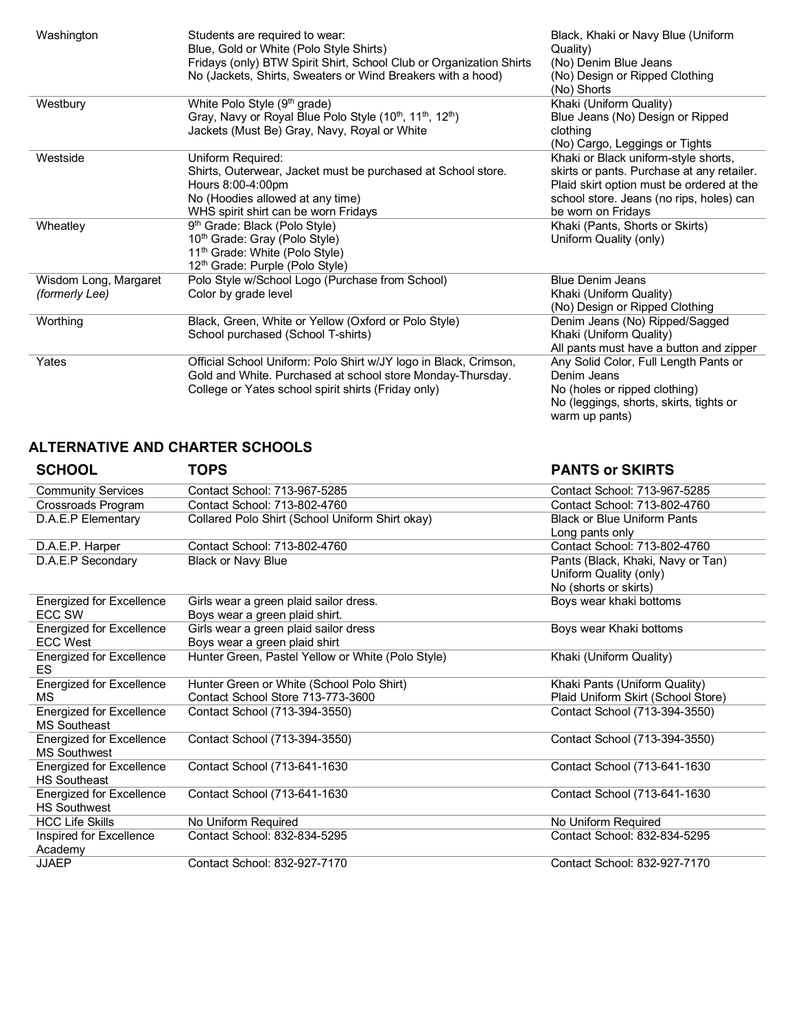| Washington                              | Students are required to wear:<br>Blue, Gold or White (Polo Style Shirts)<br>Fridays (only) BTW Spirit Shirt, School Club or Organization Shirts<br>No (Jackets, Shirts, Sweaters or Wind Breakers with a hood) | Black, Khaki or Navy Blue (Uniform<br>Quality)<br>(No) Denim Blue Jeans<br>(No) Design or Ripped Clothing<br>(No) Shorts                                                                          |
|-----------------------------------------|-----------------------------------------------------------------------------------------------------------------------------------------------------------------------------------------------------------------|---------------------------------------------------------------------------------------------------------------------------------------------------------------------------------------------------|
| Westbury                                | White Polo Style (9 <sup>th</sup> grade)<br>Gray, Navy or Royal Blue Polo Style (10 <sup>th</sup> , 11 <sup>th</sup> , 12 <sup>th</sup> )<br>Jackets (Must Be) Gray, Navy, Royal or White                       | Khaki (Uniform Quality)<br>Blue Jeans (No) Design or Ripped<br>clothing<br>(No) Cargo, Leggings or Tights                                                                                         |
| Westside                                | Uniform Required:<br>Shirts, Outerwear, Jacket must be purchased at School store.<br>Hours 8:00-4:00pm<br>No (Hoodies allowed at any time)<br>WHS spirit shirt can be worn Fridays                              | Khaki or Black uniform-style shorts,<br>skirts or pants. Purchase at any retailer.<br>Plaid skirt option must be ordered at the<br>school store. Jeans (no rips, holes) can<br>be worn on Fridays |
| Wheatley                                | 9 <sup>th</sup> Grade: Black (Polo Style)<br>10 <sup>th</sup> Grade: Gray (Polo Style)<br>11 <sup>th</sup> Grade: White (Polo Style)<br>12th Grade: Purple (Polo Style)                                         | Khaki (Pants, Shorts or Skirts)<br>Uniform Quality (only)                                                                                                                                         |
| Wisdom Long, Margaret<br>(formerly Lee) | Polo Style w/School Logo (Purchase from School)<br>Color by grade level                                                                                                                                         | <b>Blue Denim Jeans</b><br>Khaki (Uniform Quality)<br>(No) Design or Ripped Clothing                                                                                                              |
| Worthing                                | Black, Green, White or Yellow (Oxford or Polo Style)<br>School purchased (School T-shirts)                                                                                                                      | Denim Jeans (No) Ripped/Sagged<br>Khaki (Uniform Quality)<br>All pants must have a button and zipper                                                                                              |
| Yates                                   | Official School Uniform: Polo Shirt w/JY logo in Black, Crimson,<br>Gold and White. Purchased at school store Monday-Thursday.<br>College or Yates school spirit shirts (Friday only)                           | Any Solid Color, Full Length Pants or<br>Denim Jeans<br>No (holes or ripped clothing)<br>No (leggings, shorts, skirts, tights or<br>warm up pants)                                                |

## **ALTERNATIVE AND CHARTER SCHOOLS**

| <b>SCHOOL</b>                   | TOPS                                              | <b>PANTS or SKIRTS</b>             |
|---------------------------------|---------------------------------------------------|------------------------------------|
| <b>Community Services</b>       | Contact School: 713-967-5285                      | Contact School: 713-967-5285       |
| Crossroads Program              | Contact School: 713-802-4760                      | Contact School: 713-802-4760       |
| D.A.E.P Elementary              | Collared Polo Shirt (School Uniform Shirt okay)   | <b>Black or Blue Uniform Pants</b> |
|                                 |                                                   | Long pants only                    |
| D.A.E.P. Harper                 | Contact School: 713-802-4760                      | Contact School: 713-802-4760       |
| D.A.E.P Secondary               | <b>Black or Navy Blue</b>                         | Pants (Black, Khaki, Navy or Tan)  |
|                                 |                                                   | Uniform Quality (only)             |
|                                 |                                                   | No (shorts or skirts)              |
| <b>Energized for Excellence</b> | Girls wear a green plaid sailor dress.            | Boys wear khaki bottoms            |
| <b>ECC SW</b>                   | Boys wear a green plaid shirt.                    |                                    |
| <b>Energized for Excellence</b> | Girls wear a green plaid sailor dress             | Boys wear Khaki bottoms            |
| <b>ECC West</b>                 | Boys wear a green plaid shirt                     |                                    |
| <b>Energized for Excellence</b> | Hunter Green, Pastel Yellow or White (Polo Style) | Khaki (Uniform Quality)            |
| ES.                             |                                                   |                                    |
| <b>Energized for Excellence</b> | Hunter Green or White (School Polo Shirt)         | Khaki Pants (Uniform Quality)      |
| <b>MS</b>                       | Contact School Store 713-773-3600                 | Plaid Uniform Skirt (School Store) |
| <b>Energized for Excellence</b> | Contact School (713-394-3550)                     | Contact School (713-394-3550)      |
| <b>MS Southeast</b>             |                                                   |                                    |
| Energized for Excellence        | Contact School (713-394-3550)                     | Contact School (713-394-3550)      |
| <b>MS Southwest</b>             |                                                   |                                    |
| <b>Energized for Excellence</b> | Contact School (713-641-1630                      | Contact School (713-641-1630)      |
| <b>HS Southeast</b>             |                                                   |                                    |
| <b>Energized for Excellence</b> | Contact School (713-641-1630                      | Contact School (713-641-1630)      |
| <b>HS Southwest</b>             |                                                   |                                    |
| <b>HCC Life Skills</b>          | No Uniform Required                               | No Uniform Required                |
| Inspired for Excellence         | Contact School: 832-834-5295                      | Contact School: 832-834-5295       |
| Academy                         |                                                   |                                    |
| <b>JJAEP</b>                    | Contact School: 832-927-7170                      | Contact School: 832-927-7170       |